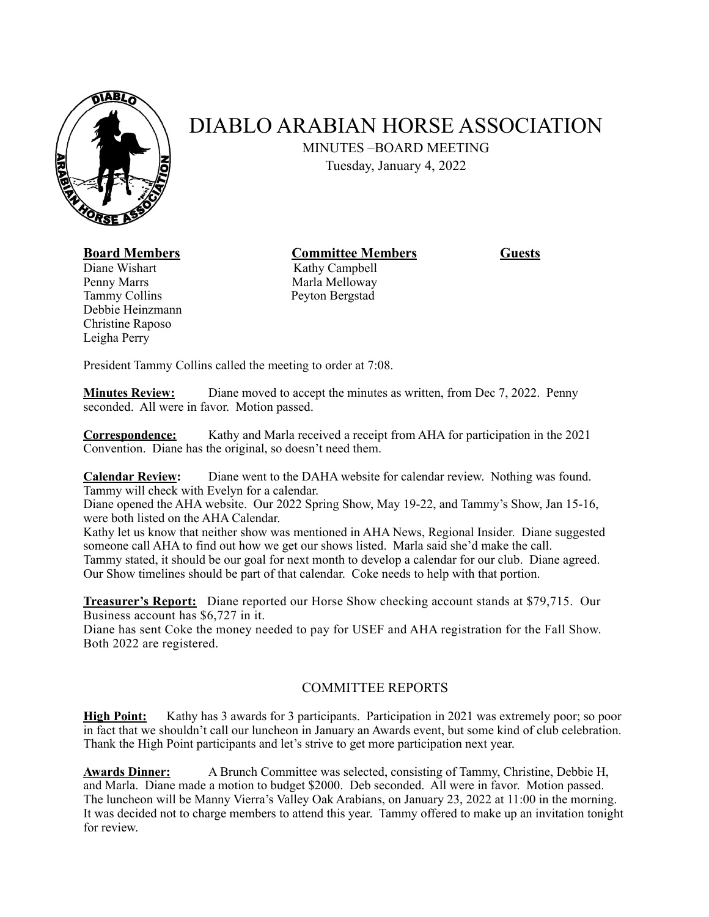

## DIABLO ARABIAN HORSE ASSOCIATION

MINUTES –BOARD MEETING

Tuesday, January 4, 2022

## **Board Members Committee Members Guests**

Diane Wishart Kathy Campbell Penny Marrs Marla Melloway Tammy Collins Peyton Bergstad Debbie Heinzmann Christine Raposo Leigha Perry

President Tammy Collins called the meeting to order at 7:08.

**Minutes Review:** Diane moved to accept the minutes as written, from Dec 7, 2022. Penny seconded. All were in favor. Motion passed.

**Correspondence:** Kathy and Marla received a receipt from AHA for participation in the 2021 Convention. Diane has the original, so doesn't need them.

**Calendar Review:** Diane went to the DAHA website for calendar review. Nothing was found. Tammy will check with Evelyn for a calendar.

Diane opened the AHA website. Our 2022 Spring Show, May 19-22, and Tammy's Show, Jan 15-16, were both listed on the AHA Calendar.

Kathy let us know that neither show was mentioned in AHA News, Regional Insider. Diane suggested someone call AHA to find out how we get our shows listed. Marla said she'd make the call. Tammy stated, it should be our goal for next month to develop a calendar for our club. Diane agreed. Our Show timelines should be part of that calendar. Coke needs to help with that portion.

**Treasurer's Report:** Diane reported our Horse Show checking account stands at \$79,715. Our Business account has \$6,727 in it.

Diane has sent Coke the money needed to pay for USEF and AHA registration for the Fall Show. Both 2022 are registered.

## COMMITTEE REPORTS

**High Point:** Kathy has 3 awards for 3 participants. Participation in 2021 was extremely poor; so poor in fact that we shouldn't call our luncheon in January an Awards event, but some kind of club celebration. Thank the High Point participants and let's strive to get more participation next year.

**Awards Dinner:** A Brunch Committee was selected, consisting of Tammy, Christine, Debbie H, and Marla. Diane made a motion to budget \$2000. Deb seconded. All were in favor. Motion passed. The luncheon will be Manny Vierra's Valley Oak Arabians, on January 23, 2022 at 11:00 in the morning. It was decided not to charge members to attend this year. Tammy offered to make up an invitation tonight for review.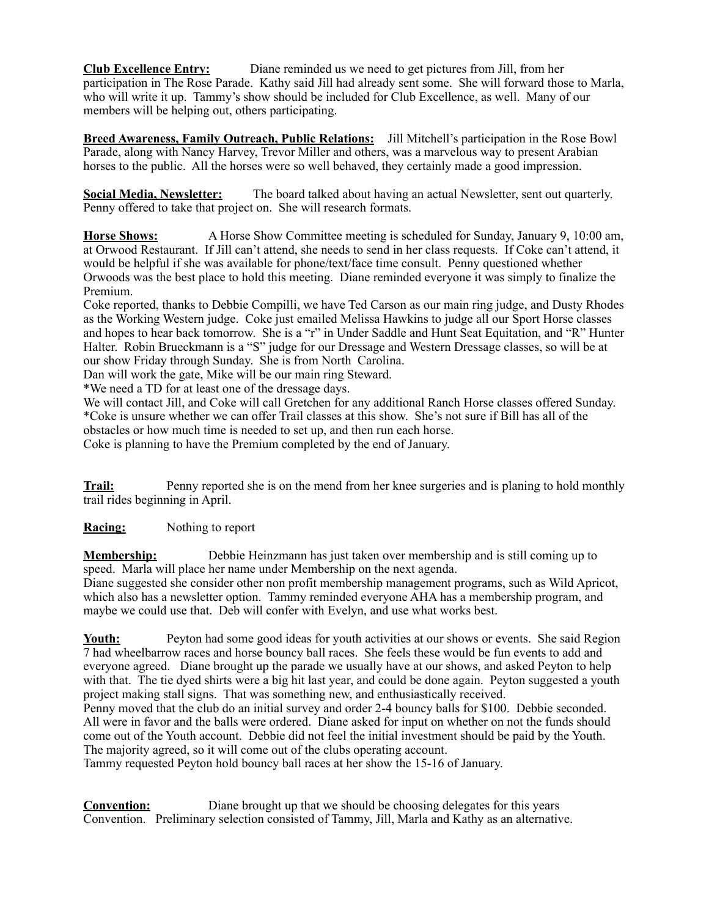**Club Excellence Entry:** Diane reminded us we need to get pictures from Jill, from her participation in The Rose Parade. Kathy said Jill had already sent some. She will forward those to Marla, who will write it up. Tammy's show should be included for Club Excellence, as well. Many of our members will be helping out, others participating.

**Breed Awareness, Family Outreach, Public Relations:** Jill Mitchell's participation in the Rose Bowl Parade, along with Nancy Harvey, Trevor Miller and others, was a marvelous way to present Arabian horses to the public. All the horses were so well behaved, they certainly made a good impression.

**Social Media, Newsletter:** The board talked about having an actual Newsletter, sent out quarterly. Penny offered to take that project on. She will research formats.

**Horse Shows:** A Horse Show Committee meeting is scheduled for Sunday, January 9, 10:00 am, at Orwood Restaurant. If Jill can't attend, she needs to send in her class requests. If Coke can't attend, it would be helpful if she was available for phone/text/face time consult. Penny questioned whether Orwoods was the best place to hold this meeting. Diane reminded everyone it was simply to finalize the Premium.

Coke reported, thanks to Debbie Compilli, we have Ted Carson as our main ring judge, and Dusty Rhodes as the Working Western judge. Coke just emailed Melissa Hawkins to judge all our Sport Horse classes and hopes to hear back tomorrow. She is a "r" in Under Saddle and Hunt Seat Equitation, and "R" Hunter Halter. Robin Brueckmann is a "S" judge for our Dressage and Western Dressage classes, so will be at our show Friday through Sunday. She is from North Carolina.

Dan will work the gate, Mike will be our main ring Steward.

\*We need a TD for at least one of the dressage days.

We will contact Jill, and Coke will call Gretchen for any additional Ranch Horse classes offered Sunday. \*Coke is unsure whether we can offer Trail classes at this show. She's not sure if Bill has all of the obstacles or how much time is needed to set up, and then run each horse.

Coke is planning to have the Premium completed by the end of January.

**Trail:** Penny reported she is on the mend from her knee surgeries and is planing to hold monthly trail rides beginning in April.

**Racing:** Nothing to report

**Membership:** Debbie Heinzmann has just taken over membership and is still coming up to speed. Marla will place her name under Membership on the next agenda. Diane suggested she consider other non profit membership management programs, such as Wild Apricot, which also has a newsletter option. Tammy reminded everyone AHA has a membership program, and maybe we could use that. Deb will confer with Evelyn, and use what works best.

**Youth:** Peyton had some good ideas for youth activities at our shows or events. She said Region 7 had wheelbarrow races and horse bouncy ball races. She feels these would be fun events to add and everyone agreed. Diane brought up the parade we usually have at our shows, and asked Peyton to help with that. The tie dyed shirts were a big hit last year, and could be done again. Peyton suggested a youth project making stall signs. That was something new, and enthusiastically received. Penny moved that the club do an initial survey and order 2-4 bouncy balls for \$100. Debbie seconded. All were in favor and the balls were ordered. Diane asked for input on whether on not the funds should come out of the Youth account. Debbie did not feel the initial investment should be paid by the Youth. The majority agreed, so it will come out of the clubs operating account.

Tammy requested Peyton hold bouncy ball races at her show the 15-16 of January.

**Convention:** Diane brought up that we should be choosing delegates for this years Convention. Preliminary selection consisted of Tammy, Jill, Marla and Kathy as an alternative.